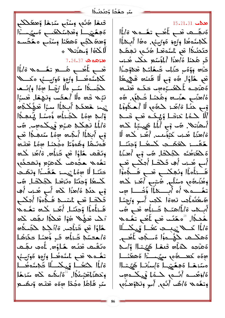<u>ﯩ</u>ﻨﻰ ﺟﯩﻘﺠﺎ ﯞﻩﺋﻜﯩﺌﯩﮕﺎ

تَنقَا هُنَّمٍ وَمُنْتِي مُنقَطِّ وَصَعَلَكُمْ أَبْسِرُهُما وَهُلِمَكْفُسِمٍ هَمِيُهِمْ أَ وَّهِهُ لَأَبُمٍ هُهَكُمُّا وَمُنْآسٍ مَعَّكَسُتُ لَّالمُحْدَّةُ الْجُمْعَةُ مِمْ \* من 37.24.37 تَعْبَ نَمُعُنَ هُــــــمْ مْـــــمِــــمْ هُ الْمِلَا للبشاه المؤود وأوني والمسابل لْحَكّْمَنْ الْمَمّْسِ وَلَا رُجْمًا وَوَا وَإِنَّــمَّا تَبْحَدُ ذُهِ وَلَا أَحْضُبَ وَتَهْمَلُ قَضَبُرَا يْهِمْ هْتَكُمْ أَبْتَكَلُّ مِيرًا شَيْكُمْ وَّامِهِ مِهْمِ لِلْجَنِفُ وَّومِمُا لِمَبِعِيمَا ەُ)لَما تېڭى ھەر ئىگەھى. ھَ فْعِ أَبْتَابُا أَخْذَبُه وَءُ مَعْدَجُا شَع َفُمنُـمَّا بِثُمَوْمًا مجُـدُـا هِمَا شَـْـه وَنَفْعٍ هَٰلَهُا هُمْ خَبَلُهِ. وْاهَٰز كُلُهِ تمُّه\ مجْهِما لْمُهْرَمِ وَتَعْجَدُو حَسِّمًا إِنَّــْ هُـقَــْ; { وَتَكَــبَ لْكَسِعُا وَجِسًا م<sup>َ</sup>نْقِط كَجُكْسًا. هَـ وْمِ حِبُمْ هُ/هزُا ݣُلُّ أَسِ هُـزَى أُبْ كُلْثِـا هَـ لمْسْـهِ فُــةُوزًا أُمِكْــمِ ْفَۃِلْمَاْلِ وَجِسًّا. اُهُدَ كُلُّه عَشَمَلًا آلم شَهْلًا هُوْا شَلْجًا بِقِم كُلُّهِ هَٰٓاءُا هُم خَزْلَمِي وْٱلْكِمْ كَجَيْئُهُ ۖ ة/حتمَّةِ خَـٰٓ;أُ۞ ثَـٰٓ، وَۚهنـُـا حَـٰذَهُـا ەڭقُىھ قْئىُھ خُلوُھ. ئۈچ بېڭى تَمُّـه لا شَــمِ لِمُنُممُن أَوْرُووْ كَوْرَىــْهُ ة) أَلَى الْكَمَدِينَ الْكَمِنْ مِنْ الْبَارَةَ وَالْمَدَّمَةِ مِنْ الْبَارَةِ وَالْمَدَّمَةِ وَالْ وِكْتِعْبَاتْتِيْسُلُّالْ فْكَاسْلَاتْ لْكُلْفْ مْتَوْهُا مَبْرِ قُاهُا دَجُدًا وَهُمْ قَدْسَ وَيَتَّقَصُو

15.21.31 كَانِقَــت هَـــم نَأْهُـــم تَـقَــته 1.43 لْكَمِْنُوهُمْ وَزُودٍ هُوِرَ بِهُو. وَهُا أُبْتَكَبُّلُ مَكْتُدُا هُمْ لْمُدْهَداً هُنُمْ نَفِعُهِ تُم هُدِمًا وُاهِزًا ٱلْمُؤْسِّعِ حِكْبٍ هُـزبٍ حَزْرَه وَوَوَّمَ حَزَلِ حَمَلَهُمْ هَلاَوَّجِزًا هُم هَاوُا. ۞ه وْمِ لَا كَسُرُه كَيْرِهِدَا هُهْبَجِــم لِمُلحَكْمِــهِمِ مِنْ حَكْــم هُنْــهِ ةُاهِنَى هِنَدِهِ وِهُمْمَا خُلِّفَى. هُهِ وْبِ حَبًّا وْاهْدِ حَدُّوهِ لَا أَحْذَوْبَهِ ٱلْلَّ حَـٰهُ! تَعۡتَـٰا وَۡلِّکَٰے قَبِ خَـٰہٗ أَمْعَنُهُمْ. شَا وْمِ أَبْلَهْ شَيْءٌ لِمَ كَمَدْهُ ةَ اهْذَا هُــزب كَيْرُوسب أَهُــز كُــْ هَــْ الْهَــْ هَقَسِز حَمْعَصَدِ كَسِعُما وَجِئِسًا هُ لِمَعْزِهُتُم لِلْجُلْحْلِ رَهُ وَبِ أَهْدُبَٰ أَبِ هُـ: أُفِّ ثَلاَمْـا أُمِلَّبٍ هَي َفَــٰٓ;َأَهِ أَا ۚ وَنُـفِـكُــــعٍ شَــهِ ۖ فَـــجُهُوٓوَا وَهُذَمِدُهُ وَمِمْلَى الْمَشِي أَهْدَ لَكِ مَا تَمُّــــــهُ لَا أُوَّــــٰهُ أَوْ ذُكَّـــا مِ هُ عَنُدابُه وَ أَنْ مَنْ اللَّهِ فَيَ أَسْرِ وَرُحِمًا } أَبْتَكَ دَايَاً اهْتُكُمْ خُسْبَاً هُبِ هُبَ هُدجُال 'ْہِمَنَت شَمِ نَمُوْمِ مَعْدِد للْكُرِيَّ لَكُ جَبِينَ مُحْكَمَ الْمَرْةَ هُهْدُهَا لَلْقُسْمَوُّا هُسْلَامِ لَمُعُسَى هُمْزَجِهِ حَدَٰلُوا صَفَرَ مَا جَهُمْ الْمَجْمَعَ الْمَجْمَعَةُ الشفقة أتسريب ره شعلا هفج الترثة لتأنسراة لرشفوة لمشنده كَاوْتُعْتَ أَتْسَمَعَ حَسَمًا فَيَخْتَصُرْهُ عَلَيْهِ مِنْ مُسْتَوْتِ وَتَـقُولِهِ ۚ وَأَرْهَبَ أَنَّوَمٍ ۗ أَمِرٍ ۚ وَلَـٰاؤُهِـدُّومٍ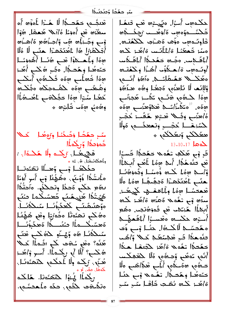مَّرِ حَمَّحُا وَدِيُدِيُنَاْ

هْبِيْسِي حَكْمَــٰـٰٓءُا لَٰهُ حُـٰٓٓءَا لَمَٰوۡوَى أَن مَعْنَرُهُ مِّعَ أُدْفِئًا ذَٰأَأَلَكَ هُمَمَّاً. هُوَّا وْبٍ وَجَـٰٓ;ِلَمْ هُ ۖ وَٖٚاجِـزُهُم هَاهِـزُه أَجْحَكَنُولَ هَٰا لِمُحَكَّدَهِ ۖ: ا هَنَّـ لَا هَٰلَا هِهُا وَلَمسَنَاوَٓا شَبِ هُنُــا أَهُووَـُــا حَكَمَعُـا وِـهُدَــٰهُا. هَجُــْ هُـُنْــٰى أُهُــٰزَ ہووُا خُمْلَے ہوؤہ شُکْشُوں آُسُکے ومُعَمَى وَهُ مَكْسَمِكُو وَثَكْلُو كَعُمَا مُبْرَا وَهُا حَجَّلَاهُ ۖ لَمُعْسَوَٰ لِل  $\ast$  တည်ဆို မှစ်တူ မှစ်တူ

مّب حمّحُا وَحُكْنَا وَرُوهُا ﴾ كَلَّلا حُودِهُ الْإِبِيْهِ الْمَسْرَدِينَ الْمُسْرَدِينَ الْمُسْرَدِينَ الْمُسْرَدِينَ الْمُسْرَدِينَ الْمُ قىلى ھُلى ھُلى ھُلى بِالْكُمْ فَيْ مِنْ الْمَكَمَّا.<br>وَأَهَدُّقْ نَعْقَلْ قُولُوْنَ عَلا جَمَّلْ الْمَجْمَعَةُ الْمُؤْوَّسُوءُ الْمُؤْوَّسُوءُ الْمُؤْوَّسُوءُ الْم حِنُحْفُا وَ؎ وَحِسُلًا تَعْدُونَا ەﻠۡنتُٰﺪُﺍ ۏؙۘڢ۪ٞٮٜٞٚۦ ەھُۄؙٚٮُڵۢ بۡؠ ٱٞٮڔ ٱوۡنُا ىھَم ھڭم ەُحكًا وِتَحكُمْ. وَاَحتَكَا رَنْدُا مَنْسَمَةٍ رَسْمَىٰ الْمُتَرَبِّهِ ەۆھئىمُىئى كَعْدَوْنُــا مَىكْلُــا. ەھُكُم تَعثَمِتْا ەخُەرُبَا وقى ھُھُـُـا ەَھسَىگْــەلَمَا ئىسْــىدَا ەَھكْبۇْسُـــا سَّىلاَمُلَا ھَە وَلِيَّہِ لَاھُكْسِ ھَئَے هُنُهُ؟ هي سُهْد کُلّ اثْـه اُمْـ لَا هُ كَتُبٍ؟ ٱللَّا لَهِ رَبُّكُما!. أُسِيرٍ وۡمَاهَنَّـۃ مَعَنَى بِرَجِّدِهِ وَلَمَّا لَمَعَنُوں حَتَمَعَتُهَا۔<br>حَمَّا عَقْبَتْ رِكْماً لِيُّزْوُا حْتَعْدُدَا. هَاكُم ەلگىۋە لەئەر. ھە ەلممىشەر.

لْمُكْدُومِ أُسْرًا. وَيُهْتَزِوهِ هُمْ تَعْمُلْ كُحْشُــەوُەھ، ەُ/ۈھُـــ، رْجِحُـــڋٛھ تْتَلِمِكُمْهَا وَوَّهَا وُهَبَّتِ لِلْكَفُلُسُ. ەمئز خَعْقَئْدَا ةَالْمَلَّكْسَ ةَاهَّز ݣُد ٱلمقَـٰلامِـد. ٥جُـ٥ حَـهُـدـِهُۢا ٱلْمَقَـٰدَمِـد أوئبوهم والعنكوُّم أهُدًا وِكْكُسُرُ ەھكىلا قېممائىگ ەزەۋ أىئىم وَّلِإِنُم لَا تَاهِدُو ۖ وَحِعُلٍ وَهُو هِـرَهُوْ هِهُمْ لَحِيثُهِ وَشَمْعٍ كُلُمْسَ هُجِزَٱب وە ئۇنگىزاگىگا ھُلاَبُعْتَ بِ مِە ةُ/هنَّب وِجَّــلا هَــْمِم هَقَـــ: كُجْــِ لأَسْرَحْسَا كُجْسِجِ وَتَعْمَدُكُمْ وَوِلَّا ھفَكْكُم وُبِعَكْكُمْ ﴾  $13.10.17$   $\Delta$ ثَہِ ہٖٓں مَٰلَک ۦٓهُ٥۩ حَمَّحَۃًا خَسۂؚا هُم تشَـمُكُما. أَـبْ هِهُ أَلْعُم أَبِـٰهَـٰمَا أَ وَّاسِي هِهُمْ كُنْ وُومُسْا وِجُووْهُنَا هِنَّــعِ ۦلمُكَنْـمَــْ;َا هُجِعَّــفُـا مِهْدًا هِلَّا شمحكم بأخشاء بأوادهمه كمحمش مَدَّاهِ فِي تَمُّدَ لَا دَمَّاهِ وَأَهْدَ كُلُهِ أَبِيْلِ أَهْرَبُيْتِ مِنْ خُورَهُ لَجِبٍ وَهُم أَسْبَرَهِ حَكْسَهِ وَتَعْسَبُهُمْ أَلْمُقَصَّلَةِ مِ ەھّدىئىم لايڭىغا. جىئا ۋىس ۆت تشَعَدُا ثَمِ شَدْمَهُكُمْ كَمَلاً وَٱشَعَ حَمْحَجًا تَمُّهِ لاَ وَأَهُوَ كَتَبَيْضًا حَذًا أَنُّهِ مُوَهُمٍ وَجِيوهُ وَلَا كُفْعِكْت الله صِمَّالِهُمْ لَمِّلَى مَثَّالِهِ عَامَلُهُمْ وَهُمَّا حَمَّدهُمْ وَهُدَجًا. تَعُدَيْ وَبِ حَبًّا ةُ/هُــز كُـــه نُـْقَـب خُـاقَــا مَـّـرٍ مَـّـرٍ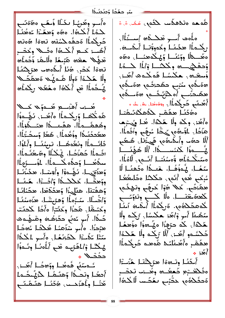مّر حمّكُل وُصُحْسُمُا

ەأسو وهُربُما ىكْلَا وُجْمَع دەققىلىغ لِّكُمَا أَكْتُوَّا. وهُو وُهِجَّزَا عَوْهُنَا كْرِبْكُمْ الْمُحفُّمِكْسُلْبُه نُحْمَّة الْمُعْشَرَة أَهْبَ كُبْعِ أَكْتُهُ أُهْلًا وِكُحْبِ هَيْمًا حقَدَه هَبَعْد مَألَّكَ; وَّدُءلَه تَّەەْلگْتْم. ھُنَّا أَلْكُوھە ھۆچشى وِلَا هَٰكُمَا هَٰوِلًا هُـٰدِيُٰه هَمشَكُــهِ ۖ يُمشَمِلُه تَعِ أَحْدُهُ الْمَعْمَدِ رَبُّدَءَ هُدن أُهْنُد م هُدهُ لا لمحد الله هُوتُحْهَا وُرِجُحُواْ وْأَهَدْ. تُؤْجُووُا وهُعِفْ ولُمْ هِفَيْتِ وَلَا هِمْ وَلَمْ ا ههَدَدُنُىدًا وِؤُهُدَءًا . هَعُدَ وَسَدُّ تُذَاًّا، كَالنَّــداُا وِنُعْْدِهُـــا، تَرِيمُنُــا وِٱلْمَوْا. اثُـملُّا حُمْزُهُـا، ۖ يُكْلًا ۖ وِهَعْنُـملُّا، سكُعُنَا وَجِدُّهِ كُلْمَالِ، لِمُؤْسَنُوْهِ أَل وَهِدَنْ ٓ لِيَ ۖ وَأَوْ دَا ۚ وَلَهُ وَ وَلَهُ وَ لَهُ وَ عَلَيْهِ ۖ لَهُ وَ لَهُ وَ لَهُ وَ لَهُ و وِوَهِدْشَا، كَحِكْجُا وَادُ تَرَا، هَيسًا وَهِعَتِنَا، هِنَلِيُّا وَهِجَدَّهْدا، هِجَبَابُـا وَٚاتَّىــْلَا. مَمْـرُه أَا وَٰعِرَّىٖتْمَـا، هزَه مُنُدَلًا وكَسُفْل. هُدُا وكُنُتِرا ه∫ُدًا كُلْحَنْت كُىدًا. أُس كَەبُ حكَرْهُــْهَ وِهْــوُــهِ ه هزَدَٰا. ه/ٌمر مْمَرْهمُا هُلاَصًا مُوصًا مَثَلَا مَكَمَّةَ! لِكَّوْنُهُا. وأَسِرِ لِمَكْلًا! لِحُتَّـا وْاٰلمَّتَى هَــ اُلْمَنُـا وِنُــدَوُّا ددُشْمالا \* شَمَعُهُ فَمِعُما وِوَجِعَما أَهَدَ. أُحعُا وِتَحِـدًا وَعِنَىعًا ۖ جَيْحَـٰـما هَٰتُـا وِلْعَزَٰدــب وَهُدَّـُـا هِنَّـمَّـنَــم

هُدهه ەلْكْكْلِم حْثُمْ. مَكَب شَرْس شَر ەلمەت أسىر شكىگە إمسۇلمار. رِجْحِماً العَجَسُـا وِجُحوِقُسَـا أَحِكْمِــة. ەھْكىلا وۇنئىل ۆلكۈھنىل دەئ وُحفَحْيَ مِي كَحْسًا وْالْمَالِ حَسَمًا وُسِعْدِهِ . هَكْسُلْ قَدِيْدُهِ لاَهْدِ. بەلگە ئەتبى ھەدەئىمە بەئمىگە هَهُدَّنَبٍ أَهْ لِأَنْكُ فَي مَهْرِ مِنْ مَرْمَةِ أَهُّمِنَّمٍ خُرِيْكُمْ) . وَوَهُمَعْنَا. وَهُ مَنْ مَ ەھۇكىل ھۇھىر للاھڭ ئىمىدا هأهَز. وكُم ولًا هَكُمَا. هُـا وَيُـثَرِهَا هَذُكُلُ: لِمَؤْمِنُهُ مِنْ كُلِّيٌ لِمَثْلُ مُؤْمَنُهُمْ . لَكُنْهَ أَلَّا دەُب وأَسْكَمْتُهُمْ فَيْ تُرَا. ھُمْقَىم لُّــــــودُّا ۖ كَـُنُـبـــــــدُّا. ٱلَّا هُجُنُـــــا ەممىڭگەلە ۋەممىتىل آىسىم. لَاەْلمَال مَعْصًا، إِنْدَوَٰهُـا، هَــدُا الْهَنْـا لْل مُبِكَى هُـَى أَنُـى. حكَّــكُمُ وصُّلحتُكُمْ لِمَحْمَـٰ همَّرَصُّم. كَلَّلَا هُوٓا كُرِفُم وتَهْدُهِ كَعِيهَ مِعْتَسَا. وَلَا كُلْبِ وِتَرَوِّسُبِ لَّدْهَكُلُوهُوم. وَرِيُّدْمَاْ أَمْدُوهُ أَمْلُا مَكْمَىنَا أَمِرٍ وَاهَٰ: هكْمِنَا. رَجِّكُ وَلَٰا هَكُمَا. ݣُه دَوْمَ أو مُ حَرْمَ اللَّهُ مَعْهُمَا كَحْشُومٍ أَهَٰذٍ. أَلَّا رَجِّدٍ وِلَا حَكْدًا هفَفَ هِأَهُىئُلِّكُمْ هُوهِدِ خُوجُكُولُمْ آهُد: ﴿ أَمكُنا وتوها مؤجِنُنا هُزَمَّا ەقَلاشـْرَم كَـعمَـــه وِمُـــزب لَـدتـَــرِ ەَحثَلاۋە كَتُبُّ بِمُكَـبِ لَّاكْلَاۋَا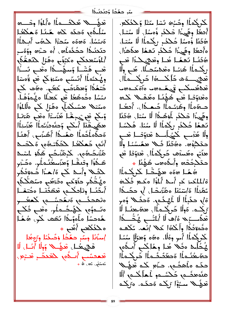<u>ﯩ</u>ﻨﻰ ﺟﯩﻘﺠﺎ ﯞﻩﺋﻜﯩﺌﯩﮕﺎ

تَعِيثُكُمْ تَعْلَاشُكُما وَأَمْلَؤُا وِتَـــــرَّه سُلَمْهِ وَحدُه كَلَّهِ هَيْئًا وَحَكْفُ ەْسْسُلْ. ەُھەُه مُحَتْزَا جَهُمَّ أَبِّهَا دىَكْتُبُمُّا دَخُخْمَاْنَ } مَنْ الْمَرْدَةِ وَوَّةَ بِ ٱلمُؤَسِّعْتَكُمْ مَكَبُوَّى مَقَوَّلِ كَلَّحْقُكُمْ) هَــِ هَٰتْــا مُِــمُّــدًا هَــُـ بُـــُّا وِيُحْثَم*اْ أَنْسَنَ*ّى مَنْزَوْلَا هُو وُّمْسَا ثَنَّهُمَّا وَمِعَزَّضَمٍ كَعَبٍ. وَهُدَ كُلِّ مِنْسًا وَشُوْهُكُمْ فَيْ كَعْظًا وَيُوَوُّفُ]. دَسْتَلا هِمْسَكُدَلِّ دَفَعًا كُمْ وَلَالِمُوْا وَّكُمْ شَيْءِ مِّمَاً هَٰذُتْنَا وَشَيْءَ مِّنَا مِّنَاءِ هِنَّهِ فَالْمُنْهُمُ وَحَدَّدَتُهُ أَلَّا هُنَّمَا الْمُخْتَبَا هُحكُملُخُملُا عَمَّىدُا أَهُنَّبِ. أَهْلُا أَنَّهِ ضَعَلَاهُا لِلظَّمَّتِينَ مِنْ الْمَحْصَلَةِ هَّتُحُـدُهُ٩. كَـٰٓرِهُنُـحُـمٍ هَٰكُمْوَ لِمَسْمَ ْهَـٰٰٰٰٓهُوۡۖا وِٖكۡنَفَـٰا وۭۡہٰذُمۡمُلَـُـٰمَآٰٰٓہٖۥ ۖ ہَكَـٰٓۥۡہٖ لِّكُلا وأَسْلَمْ كُلِّ هَا هُـزًا شُـووَتُكُلِّ ەڭگەر داۋكىم ەڭتكىم ەشقىلگە أَمكُـُـا وِتَادِكُــو هُقَفَّتَــا وَحُتمَــا ەتھجىئىسى ەتكىشىسى ككمغىس ەئــەۋەر ككُمْشـْــەكمر. ەھـــ ئَكـــح هُوَجِبًا وَلَمْوَيْجًا تَتْقِفَ كُلِّي. هُهُـأَ ەللەُلگىلىم أَهُلُم \* إمبَّائًا ومِّي حقْحًا وَحَكْنًا وَرُوهُا فَحْيُحُــا . قَ**حَيُّـــلا بِجُولًا أَرَـُــا . لُ**ا مْعْصِيَبِ أَسْلَمُ لِمُعْصَبِ مْشَرْمٍ.  $\bullet$   $\stackrel{\ast}{\bullet}$   $\bullet$   $\stackrel{\ast}{\bullet}$   $\bullet$   $\stackrel{\ast}{\bullet}$   $\stackrel{\ast}{\bullet}$   $\stackrel{\ast}{\bullet}$   $\stackrel{\ast}{\bullet}$   $\stackrel{\ast}{\bullet}$   $\stackrel{\ast}{\bullet}$   $\stackrel{\ast}{\bullet}$   $\stackrel{\ast}{\bullet}$   $\stackrel{\ast}{\bullet}$   $\stackrel{\ast}{\bullet}$   $\stackrel{\ast}{\bullet}$   $\stackrel{\ast}{\bullet}$   $\stackrel{\ast}{\bullet}$   $\stackrel{\ast}{\bullet}$   $\stackrel{\ast}{\bullet}$   $\$ 

كْمِكْدَمُا وِحُبُرْهَ تَسْلَسْتَا وَحْدُكُمْ. أَحعُا وِفِّيءُا شَكْدُ وُّومُمَا. لَا مُمْل!. هُكُمُا ؤُهِمُا حُكْثُرٍ رِكْهِلًا لَا مُتَبَا. هأنعفًا وفِّيُّ أحُكْثُرٍ تَعْمُلُ مَكْفَرًا. هُكُسًا تُعصُّا هُـا وِهْنَيْنَ أَسْبَ رِيْكُماْ اهْبْسًا ەقْكِمْمُحَـلًا. هُبِ وِلَٰا هي هُم مَأْكُلُ أَو لَا عَلَى اللَّهُ مِنْهُمْ اللَّهُ عَلَى اللَّهُ هامكةأه محصفرة سكسفكه هِ مَعْبَوْضًا مَنْ مَا مُؤْسًلُ مَعْشَلًا مَحْدَدِهِ حِيهَهِ أَلِ وَهَٰٓئِكُمْ أَصْحَابُ أَحِيَٰٓا لَهُ وِهَيْ أَ شَكْدُ لَمُوَهَّدُا لَّا مُتَا. هُكَنُا تَعِمُا حُكْدُ , كُومًا لًا سُنَا. فُكْسًا وأا مَحْسَبِ كَحَيْكَ اللَّهِ هُدَوِّصْلِ هُلِّي حَكَبْوُهِ. وَهُكَنُا ثَــٰهُ مَعْسَنُـا وِلًا هِزَمْ وَهُسْآمَا خَرِجُهَا!. قَدَوَّدًا هُم حنْدْحُدُه وأَحَدُه مَيْنًا ﴾ هُهُا هِهُهِ هِهَٰنُهُا كُرِجُهِ الْمُ ة/لملكُنز كُر أَسِط أَلْمَوْا وكُنْ قُلْحُين مَعَّنِلًا وَاسْئِنَا وهَّتَّكَلِّ. أَبِي حَضَـٰهَا ة/ حَدَّىلًا لًا عُلَيْكَمٍ. هَحشُنا وُمِر رَبِّكُــهِ. هَوِلًا خَرِيْكُــهِـلًا. هِمَّمْعِنُــلِ لَل هَكَمَــــزِيهِ هُ/َ أَلا أُمْتُــبِ لِمُتَّــــدُّا أ هخُموْنُهُا وأَكْثَا كَلا إِنَّفٍ. يُكْفِ كْرِبْكُمْاْ أُمِرٍ وِەُلًا. 500 وَهرَالٌ مُمُمَّا لُكُلُّه هفُلا هُا بِعُلِيْبِ أَنهُم حَمَّمَعُنَـماً الْمَحَمَّدَمَّـماً الْحَرِجَـماً ا حکّه هلُهڅُم، حزّم کُلّه هَوُلا هنُوهشُــو، كَـكْسُــوو لْمَعْلَكُــوم ٱلْل هَوْ الا سِبْوْا رَبِّكُمْ هُجَكُمْ. وَرَبِّكُمْ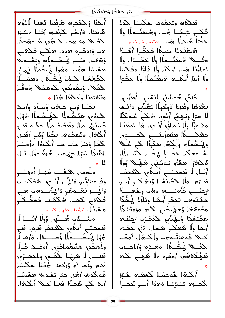مَّرِ حَمَّحُا وَدِيُدِيُنَاْ

أَمكْنُا وَحْكَحْرَه هَرِهُمْا نَعْدَا لَّالَمْوَه كَبِعُدًا. 15هُم كَبِرْهُدِ أَدُّمًا مِمْزِز لأَشْلا مَسْمَد لِهُ مَا مُسْمَرَهُ الْمُسْمَرَةُ لله وَأَوْشَرِهِ مِؤْهِ. لَهُ كُلُّمْ شُلْأَهُم وَقَوْمًا . حَمَّلٍ لِمُحَسَّدِهِ اللَّهُ وَعَشَّلِهِ لَا هِمُسُا «ةُبْ. دەُوْا كْبِيْشْمَاْ بْكِيْرَا لْحُدَنُهُـا لَّــٰهُا لِمُتُـٰدُّا. هُعسَّــلًا لمثُلا . وۡعُمۡعُم لَاعضُلا ۚ وَٰءقُـا هتغثمثا وحدهدا هُرا \* ىكْتْلْ وْب دىھُت وِّمْتَرُه وِأَسْلَا لِحْدُوبِ هِنَيْجُداً لِحَكْمَداً هُوَا. حُسبٌيهُ وأُمْ مَحْمَدُ وَأَمَّدَتَ هُبِ أَكْلَاهَ ا. وتُعَجُّوه. بِحَبَّا وَوَّى أَهَدٍ. كْݣَا وَْحْدَا حَنَّتْ كُنَّ أَكْلَاهُ ا دَوّْدَسْلَ لمَفْدُا مَبْهَا حَكِيمٍ. هُدَهُدهُواْ. ٿا.  $\bullet$   $\mathbb{L}$ ەماُەت . ݣْݣْكْسىد ھُزْسُلْ أەۋىمُىر وِفَّـه\$بَنُّـر ةَالَىٰـ: أَنَّـه. هُمْكْنَــد وْالْمُ : نُعْسُدْهُو وْالْمُ أَمْسِدْهِ وْسَعِ ئُلاھَمِ لَكْت. ھَكْتُسَا تُعَتَّىكُمْ **٥ هُـ;ْدُلْ .** هُرْهُوزُلْ. مِنْهَا. كُلْبْ مْ دمنَّـــدَّدَ، وَجَالًا أَنْــــــــــلَّا لَٰل هُمشَمْ أَبِدُهِ ۖ لَمُعْدَكُمْ هُرْمٍ. هُبِ هُوْا يُحْفَّصْهَٰاْ وَْحَسْبِهَٰاْ. هُاَهَ لَّا وأهجُم هنُهُملفُور أهنَّى خَبِلًا هْتِبْ. لَا هُرِبُـا لِكُسُم، وِلْمُحَسَّمِ، قَدْمٍ وِوَّدٍ أَنْ وَائْدُو. هُكُنْا هِكْسْاً فُوحُدِهِ أَهُزٍ. حَيْرٍ تَعُويَلا مَعْسُلًا أَحْمَدُ كَلَّ هُدَٰۥًا هُنَا كَحِلاً أَكْدَهُا. هَلَّكُمْ وَحُدْهُد هَكْسُلَ لَكُمَّا ثَكُـــم مُّبِــدُـــا هُــب وهَــعُنُـــماُا وِلَٰا حَدَّثَةٍ | مُحَمَّدُ | رهُفِ: عَجْمَعَتِ: فْ: فْمَعْ هَ هُنُداً مَمْدًا خَدَّرَا أَهُدًا حُملؤُنَا هُبٍ. أَحكْنًا وِلًا هَٰاوَّا هِ هُكْمًا وِلًا آمنُا أَحدُمت هَحْنُدَاً وِلًا حَذَّبَا حَرَجٌ هَدَأَتِيٌ اِلِنُقُبِ. أُهزَّبٍ. ىُعْتَفْقَا وِهُبْنَا هُوِكْبِئًا عَقْبَتُ وَإِنِّفَ لًا مدرًا وتَهِكُم أَتُو. شُكْبٍ كَتْ تُمَّا هِ فَحَوْٓا وِلَا شَمِاؤُو ۚ أَنَّـٰهِ. هَٰا عَمَعُنُـا حفَف دُا هنَهُوْمَنْبِ لِمُشْدِهِ. وِيَٰىشُمْلُهِ وِأَحْدُهُ! هَذَٰٓؤُا كُم كَمِلًا هُــومحُد حتُـــرَا هُـتْــا حَمّــ;اُا. هَكْمُوْا هِمُّزْو شُمِّئْكُ وَهُلُّلاً وَوِلًّا أَسًا. لَا مْعصسَى أَسِمُّو كَعْدِكَ مِ هْــْرِم. هِلَا لِكَحْرَبُـمُــا وُبِـرَهُ كَــْبِ أَســرِ  $\mathcal{E}$ حكّنتُوهب تَحصْرِ أَمكُنُا وِتَاؤُلِمْ يُخَكِّدَا ەخُەتّْھْدَا ۆھكْىحُىم كْلُە دۇەتنىڭدا هكَتْهُدًا وَيُهَّنَّى لِلنُّدَّبِ رَجِئْتُه أَمط وِلًا هُعنْكُمْ هُدمَاًا. قُلَّى حَضَّرَه كَمِلًا هُومُ تُمُومِ وَأَكْمَوْلَ أُوتَبِ لِحَقُــلا يُخْــدُا. هقْــثوم وْالمحــزَب تَعَهُّكُكُمُوهُ و أُوصُرِهِ ولَمَّا هُكُمْتُ لَكُلُّهُ أكثرا هُودسُا كُمِعْدِهِ هَـٰزَو لْكَحِبْرَهِ مُمُبْئِسًا هَاهَا أُسِرِ كَحِبَا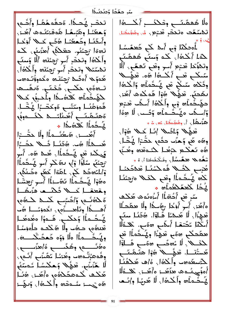مَّرِ حَمَّحًا وَدِيُدِيُنَاْ

تَحْتَـٰٓ ۖ إِنَّـٰٓ هَٰٓ ۚ أَدَهُّ مَٰٓ هُمَا ۚ إِنَّمَٰٓ وَلَ وَمِعَنَا وِهَبَمُا هُوفَنِتُوهِ أَهْزِ. وأَحدَّىُـا وحَمعَنَـا هُصَّ حَملاً أَوْحُـا تَّەەْ رُحِنُسُ. حَقَّلُكُمْ أُهزَّىبُ ۖ. كُـُـه وأَلَّكْمَا وتَنْتَم أَمْرِ رُحِنْتُه ٱلَّا وَمِنْعَ تَكْمَمُكُلًّا وِتَحْثَرِ أُمِرٍ رُحِمُتُهِ وِأَكْلَاهَا. هُدوَّ بِهِ أُوصُّهُ رَجِئْتُهِ ۖ وَيُدووُّنُوهِ ۖ تىھەۋە ككىسى. خُكْسُس، ەَيگْسىھ للهُنفُهٱه لْمَلْهُنمُا وِلَمْدِقُ كَنْلا فُوهُنُـا مِمْتُبٍ هُوِكَذَّ ٗا هُنُّـا. ەَھئىمَىتّـــو أَهْمِئَاسَّـــى كَــْـــووُو بُمِدُهِ الْمَلْكُمُ الْمُحَمَّلُ أَهْبِ: ﴿ مَعْنُــواْ وِلَّا حِذَّــْ إِ يُحِكْد هُم يُحْشَمُلْل. هُده هُ٥. أُمر َّوْحِنُّعٌ مُّاؤًا ۚ إِلَىٰ نَهُ كُلُوا أُمِنٍ لَمُحَدَّدُاً ا وْالْمُدَهَكُمْ لَكْيْ لْمَقَا كْعَكِ وَضُلُكُلْ. هِ وَوْا لِمُحْـذَاْ لَمْشَـنِاْ أَــرِ رُهِـتْنَـا وهعها كمللا فُلْسُم فَنُعُا هَ لَاهُنُـمِ ۚ وَٱضَبَـٰى كَسَـٰهَ لَـٰـهُ مِ لَمُحْـٰـٰهِ أَا وَجْحَكَــبِ. فَـٰـٰهُۥ ا هِ مُحْمِضُـا هْدِهُ مِ حَدَّمَتَ وِلًا هَ كَحْدِ حَلُّوْضُلَّا وِيَٰىثُـــداُ ا ماْ اوْوَّە خَـعتَـنْـْـــــــەْ. ەھۇئىسىمە وھۇئىسىم. وِقُومُ تَنْدُومِ وِهُٰٓنَا ۚ عَمَّنَ ۖ إِنَّـٰهِ ۖ وَ لًا هَٰٓ;َنَیٖ. شَوُْلاً وَٖهگَننُا نُمنّهُو هُكُمُ كُمُعَكِّدُوهُ وأَهْدِ. هُنْأَ هُهِ يَ مِنْ عَصْدَهِ وَأَحْدَهُ إِنَّ وَلَيْ

وَلَا هُعِمَّىتٌ وَحَكْبٌ أَكْسُرَهُ ا تْݣُمْتّْهُدْ وَتْحَدّْمِ قْدْرُهِ. فْ. وِهُوَّتْتَقْدَا. ـأُەدكْنُا بْيِ أَلم كَــحْ دَهْمُسُــا لِّهَا أَكْتَفَا. كُمْ وَسِبٌ هُفَقَيْبٌ وِلْكُلُّهُ لَا شَرْمِ أُسِرٍ وِهْمٍ نُعْمًى ِ. ٱلْأَ سَمَكَ هُبِ أَكْدُهُ أَهُ . هَوَ الله<br>وَثَلاهِ سَمَكِ هُم يَحْدَمُاه وَاحْدَهُ ا ىغَدَبُ. شَرُْبُ اللَّهُ وَاللَّهُ عَلَيْهِ أَهَدٍ. حَهُنغُمْلُو بْمِ وِأَخْذَا أَحَدُّ شَبْع وَّاسِكُ مِنْ شُدَمَاهِ وَكُسب لَّا هِهَٰا هِ أَمِيكُلْ: أ. وِهُوَ مَدْمَانَ مِّينَ \* \* تَعِيثُهُ وَلَمَّكُمْ إِسَّا كُمْهُ هُوَا. وهُو هُم وَجْعَب حقُومٍ حثَّرًا هُتْمًا. هُه تُعكِّم حَرْهُا كَمُدْهُدِهِ وِهُــَٰٓى تْكُمْلًا مْلَكْمْمُلْ. وِقَتّْدَفّْمَقْتَلَ أَنْ هُ م هُبْبِ لِمُثَلا فُوحْسُنَا هُوَحُمْنَا كُلُّه ۖ لَمُحَـَّمأَا ۚ وقْعِ لِكَـٰلا ۚ هُرْجِئْنُـا يُحُل لَاههُمْهُهُمْ \*\* مّم: هُم أَحُدّهَ أَا أَمُّومُه هَا هَكَلْ فَلَا اللَّهُ عَلَيْهِ هأهَدَ. أَسِ أَوْحُلَ رَبَّهَ أَلا اللَّهُ هَجَدَلَا هَجِزًا. لَا هَٰىدَا هُـاوَّا. هُكَىُـا مِبَّى أَخْتَا حَثَتَهَا أَحكَبِ ∞هَبٍ. ۞لَكَءُلًا هِهَٰدَكُم ههُم هُدْءُ! وضُمُّدَا هُم لْمَسْلًا ﴾ لَا مُدَكَّسٍ 20 مَسْ قَسَاؤُا هُستُنْـــا. هَنُيْـــه هُوْا هِنُـمُنَــَــع لأزمعكوهم وألحاهان واف هُلْحَفُلًا أُهْبَى مُدهَ هُمَّهُ : وَأَهَد: يَكْلُمُ أَمَّلُونَ يُحشَّحلُه وأَحْدَهُ!. لَا هُدِجًا وِإِنَّـم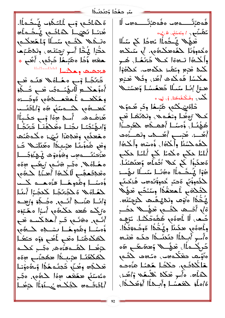مَّرِ حَمَّحُا وَدِيُدِيُنَاْ

ەْݣُاخْسە ۋى لْمُسْكُوف يْمَشْدَاْ. مْنَاسِكْ لِمَسْتَمَاظِكَةٍ مِنْ الْمَسْتَمَاسَةِ وصكْفهْلا بْمُسْتُمْ بِمَشْكَلِ مِمْكَنْتُمْ مِنْ مَسْتَدْمِينَ حَثَّةِا ۖ لَهُنَّا أُسو رُحِبُنَـهِ ۚ وَبَدْهَـٰهِم هَدُه وَّدًا مِكْبُـمًا دَّبِثُم، أَمَّـ • فاحفيها ومحتسا الطفاعية ِ خَنۡکَمَـٰا ہٖٓب ممُـٰاہُ۞ قَنَـٰہِ شَی أُەؤْھلْـــــــــو لَّالــهُـُـــــەجَّـــ شَـــــجُو وكمكعب أحمقت خلافك فوجَّــزه كَعْسَاءُهِ، حَسَّـدَمَنْهُ ۞هِ وَٱلْمُخَسَّـد هُزهُـده. أَســمْ هِهُ أَهِب حَكَـٰبِلَٰا وَٚابِهُنُجُنّا بِجُبَا وهُكِفُنَا خَرَبُجْـا ممْعنْم ومْدِمْزَا نُبْي: منْدمَنْت وِهُم هُوزُمِنًا هِبُمِيكَا وهُنَاتِي ۖ خُـَ; ەھْلەُلا. ەجْب شَيْم رُيڠُى ھەر هِ مِعْدَمِعَبِ لَا كُلْهَا أَهْلَٰهِ كُلُّهُمْ ؤْمِنُنَا وَهُمُوهُنَا قَزُّهِ هَنْ كُنْتَ لِ**ـُمُـاهُ لاَ كَجُوَنَجُـا ۖ كُحِجُـْ أَ مُـُـا** وْأَسُلَ هَنُسِي أَسُّمٍ. وَجُلُجُوْ وَرُهِسُمْ هَرُبُكُمْ هُعْدْ حَكْتُرُهُ لَمْ أُجْرًا مَكْبُرُوه أَنَّــَمٍ. هَوْنَــُم كَــْمِ أَـعَـمْكَســَ مْــَمِ ؤْەمُــا وِهُەوهُــا ىـثىـــە كـــۇەر لأَتَعَنُّكُم مَثَّلٍ مَثْنٍ فَإِذْ الْمَشَرِينَ مَنْ الْمَسْرَدِينَ مِنْ الْمَسْرَدِينَ مِنْ الْمَ حَرْهُــا حَمَّــەقرُه هـ. وصَّــ كَحَسَــه لمَكْتَنَا مِبْنِيْدًا مِمْجَنِّبٍ وَهُ هَكُلُوه وِهُـنِّي خُجِئُـهِـهُٰڋًا وُٓءهُوءُۭتُـا وَثَوْمَنَّهُمْ مَعَمَّعُمْ وَوَٰٓا لِلْمُؤْوِرِ. وَكُبِرِ ٱلمِدَّدَّـــــــوه ۖ ــــدَّمَـــدَ ﴾ \_\_\_زُوۡــدَٰلَ حَمِّصَــدَ

فُوهرُتُـــــوهــ وفُوهرُتُـــــوهــ لُّا \* فَالْمَ مِنْ مِنْ مِنْكُمْ وَالْمَجْمَعَةِ مِنْ مِنْ مَنْ مَجْمَعَةِ مِنْ مِنْ مَجْمَعَةِ مِنْ مِ هَيْمٌ لَمُحْمَلًا ءُهجًا كُمْ مَمْلًا ەئدوۇنا خۇدىخىۋە ، فى ئىنگە وأَكْتُوا تْــْ169 كْــْلَا خَرْنُـْمَـا. هُــو كْمِهْ قَدْمٍ وَعُقَّمَ حَكْمُ مِنْ كَلَامُوْا هَكْسُا فَوكُوهِ أَهُنَّ. وِثُلا مْتِرْم هوَا إِنَّا مَيْنًا خَعِفْسًا وَهِنْتِيْلًا ِي<br>لِّكُ . وِقَتَّدَفُوهُمْا . وُ . سُي م دَاهَيْكُمْ هُزَمُهُ وَدَرٍ هُدَوِّي كَمِلاً رُوهُما وِتِعُومِهِ. وِتَكَنَّقُوا هُو هُهُنَا. وُمِنًا أُقْمَـٰهُ لِكَلِّدِيُّا أهَّـــز. هُـْزِـــــع أهَّــــدْت وتَـعـــزُه ت لِحَقُّهِ لِمَسْلًا وِأَكْلَاهُ لِ. وُهِمْهِ وَأَكْلَاهُ ا ألمئا حكّم مكمئا كم ألمئا حكم ەَھكْبِوُّا ۖ ۖ كَـٰهُ ۚ اُشَمَلُه وَهنَّھنُنَا. ھُوۡۤا کُےۡـُـمَاۡا ہِھُنَـا مَّنَــٰلَا نَہُــٰٓہَ لْخَدُووُنِّي هُجِبْ يُجُووُنُوهِ = فُرْكُنِّي لمَفْلَةَمِ لَمَعْتَمُا مِمْنُصًا شَهْلًا لْمُتَكَّا هَاوْها وِتْكَلِيْقَى حَدَّثَتُهُ . ة)، أقسم حدَّے، مَوْسِمْ حصٍّ صُعبِ لَا لِمُعَهُمٍ هَهُمتَكُمْلِ. مُرَجِّد وِمْاهِ وَمِنْ مَكْسُلٌ وِيُخُمُّا وَوِحْدَةِكُمُّا. هأسو أبهلمًا منعنًى أا حكم هْشُره صَٰٓٓٓٓ صَٰٓعَآا ۖ وَ مُعَنَّصَٰٓ ۖ وَ مَعَ مَعَصَ ەأۇبجە چېڭگەھەب ەكھەم للاقىم هْلِتُلاَدُهِ. حثْخُـل هُعْـل هزُّوحـو كَهْلُرُه. ٥أمو تَعَكُّمْ لَكُمكَلا وْأَهْدَ. ة/ولَمو حققه المحرَّب وأبسطاً الأوقَعـــد الم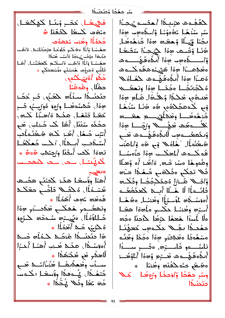<u>ﯩ</u>ﻨﻰ ﺟﯩﻘﺠﺎ ﯞﻩﺋﻜﯩﺌﯩﮕﺎ

قْدْبِهْمَا. حُصْمِ وَّسُا كْهِكْتْشَا. مُثْهَد لَمْسِعُلِ لِكَفَّةِلِ هُ كُدْمُلُّا وهُزم كَدهةُت همَّسُا وْالْمَا هِمْكُمْ خَاوْجُا هرْجَٰنُاسُكَ. هَاهُـت دَّسْهَ | مَوْضًا مَاسَّد مَّتَمَّا همُسُلْ وْالْمَالْ هَاهُـبْ هَاسْكُـمْ كَعْعَتْنُـلْ. أَهْـلْ مَّاتُّبِ هَدِرْهَ حَفَصَّىً وَزَعْعَدَكَبٍ م ئىكە ئۇنى ئىگەن. حعُلًا . وهُوهُنْا دىّكىئىگا مىلْلُە لاھْلَى. كَمْ خُكْمَ رەۋا. كىلىئەھُــا وزُوو ەوزىــىْ، كَــر كَعْمَا تَتَعْمَا. عَذُلَ ءَاهِذَا كَلَهِ. ححُدٌه مَمُسُّلٍ. أَهُل كُم حُـ;لمِبٍ. مْبِي أَنْتُمِ شَمْلَ. أَهُـَ كُـ هُ هُـعُنُـه أَصب أَسْتَدْهِبِ أَبِّكْلًا. آيكب كَمْكْفُلْ تَهةا كَتْتَ أَحْتُلَا وِرُجِئْهَابِ وَهُ هُ لْحُولُهُمَانَ حَدٍّ. حَدٍّ الْمُعْجَبِينَ hero أهلا وتُسعْدا هكَا كَصْبٌ هصَّــعا هُتسمُمُّال هَ حُفُوه مُلَّصُبٍ حَعْكُمْ هُدهُده مُهد اُنْقِدُاً! \* وتعفُـــــمر هعكـــــ مُكْتــــتْر وهُا كَـالمَةُهُلَمَا. وَيُحِبُّوهُ مُنْـوَدُهُ ۖ حَـوُوهُ هُ لِكَمِيْهِ شَيْعًا أَتَعْفَلُهُ \* هُا مِنْدِسُـدًا هُزِجَـدِ حَـدُلُمْ حَـد أُهوِّسُـٰهُا. هَـُـٰهُ هُــزبِ أُهنُـا أَحــُرا لَّاهكُر مْمِ هُـثَنفُكُمَّا \* مسأب وقعملهفا هُنَّنْاتُ؟ قب دَّتمُكُل. إنْــدهكُل ووّْسعْط الْحُـدســ دُه عَعُا وضًا يُنْشُرُا ﴾

انْكِرْ مِسْخَماً أَحْمَد لِمَجْرَأً مَّى مَنْزَهَا مُثَّوْمَةٍ الْإِسْلَامِينِ وَوَا ىجَىْا قَيْحاًا وَْحَمْدُه هَا ذَخْرَهُوهُـا. هُنَا وُجَّى هِ وَا حَكِجِزًا مَقَيْعًا ؤَاـــــكُوهِــ هِوَا أَبِدُوكُوُــــوهِ معكمقة مشرثة اؤم اتكمه هَ هَـٰٓزُا هِهَٰا أَبِّدُوفَهُـِـوهِ لِلْمُلَوُلا هَ حَجَّرَتَجَّــا مَجْتَــا مِهْلِ وَتَعْمَـَـــــلا قْتِيرُومْ هَكْجُلْ وُلِكُنُوا. هُـأَمْ هُوَا بْمِ ݣُەعجُلاھُی ھُو ھُلْل مُنْگُلُ خُزِهُهِ مُسْسَلِ وِهْدَأَوْيَ مِنْ حَقْدِ مِ تَكْسَدِمُدِهِ مُدَيْسَةً وَرُجْسَةً مِهْدًا وَسَكُمْعَيْنَـــدِهِ بَ ٱلْجُدْوَيُّــدَّةَ هُـــم هَٰىعُنُم}ْا. ٱهْاهُلا بْى هَٰه بْمَاعْبُ فَمكْــهِ مْ أَلِمِكْــهِ وَهُ اخْوَمِنْــا وِهُدوِهُا دِمُز شَدِّي وْأَهُدْ أَو وُهِـلَا ثُلا نَجِكُم هِجُلاهُم تُعمُّدُ احْتُو ؤُ/جْبِ لَا هَٰـزُرُ أَجِدْبِكُمْ ذَكْرِ وَجُكْـرُهِ دَّائــما الله عَــا اللَّــــٰ الله كَعدَعُعْـــه أُدْفِعُكُمْ لَأُسْخُلًا وَهُٰذَٰـًا. دَهُكُـَـا أسرْه وهُنْـا هكسو مأهةا هغّـا ولًا غُسْرًا هَعجُمَا جَرْهُا كُلُجِئًا وَجُرَه حَمُّدَجُّا بِكَيْلا حَكْدُوبِ كَعِجْتُنَا منْتُمُوجُا وَهُدِيْتِهِ وَوَٰهُا وَجُدًا وَهُنُد تلْمُـــو دُّلْـــبْرَه. وَجُـــــــر منــــــرُّا ٱللْإِهْقَٰيُ وَهُ هُو ٱللَّهُ وَالَّهُ ٱلْمُؤَهَّدَ: ەھكە خئەلجۇشە ۋەدىئا م ومَمْرٍ حَقَحًا وَأَوْحَدًا وَرُوهُا ﴾ كَتَلَا حنّحنُدُا